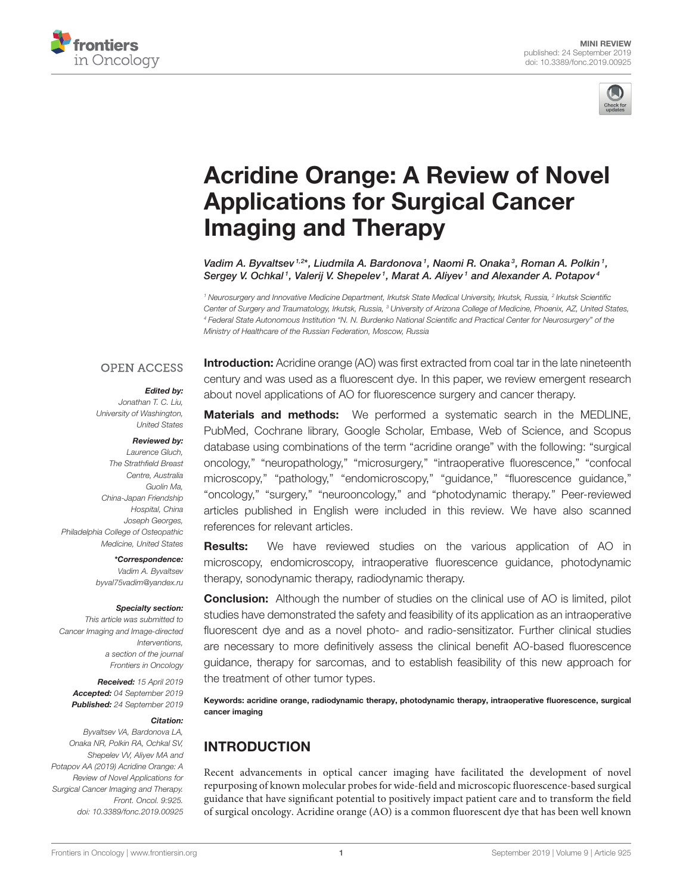



# [Acridine Orange: A Review of Novel](https://www.frontiersin.org/articles/10.3389/fonc.2019.00925/full) Applications for Surgical Cancer Imaging and Therapy

[Vadim A. Byvaltsev](http://loop.frontiersin.org/people/358053/overview) 1,2\*, [Liudmila A. Bardonova](http://loop.frontiersin.org/people/806034/overview) 1, [Naomi R. Onaka](http://loop.frontiersin.org/people/806728/overview) 3, [Roman A. Polkin](http://loop.frontiersin.org/people/748153/overview) 1, [Sergey V. Ochkal](http://loop.frontiersin.org/people/747552/overview)1, [Valerij V. Shepelev](http://loop.frontiersin.org/people/806137/overview)1, [Marat A. Aliyev](http://loop.frontiersin.org/people/806177/overview)1 and [Alexander A. Potapov](http://loop.frontiersin.org/people/381150/overview)4

*<sup>1</sup> Neurosurgery and Innovative Medicine Department, Irkutsk State Medical University, Irkutsk, Russia, <sup>2</sup> Irkutsk Scientific Center of Surgery and Traumatology, Irkutsk, Russia, <sup>3</sup> University of Arizona College of Medicine, Phoenix, AZ, United States, <sup>4</sup> Federal State Autonomous Institution "N. N. Burdenko National Scientific and Practical Center for Neurosurgery" of the Ministry of Healthcare of the Russian Federation, Moscow, Russia*

#### **OPEN ACCESS**

#### Edited by:

*Jonathan T. C. Liu, University of Washington, United States*

#### Reviewed by:

*Laurence Gluch, The Strathfield Breast Centre, Australia Guolin Ma, China-Japan Friendship Hospital, China Joseph Georges, Philadelphia College of Osteopathic Medicine, United States*

> \*Correspondence: *Vadim A. Byvaltsev [byval75vadim@yandex.ru](mailto:byval75vadim@yandex.ru)*

#### Specialty section:

*This article was submitted to Cancer Imaging and Image-directed Interventions, a section of the journal Frontiers in Oncology*

Received: *15 April 2019* Accepted: *04 September 2019* Published: *24 September 2019*

#### Citation:

*Byvaltsev VA, Bardonova LA, Onaka NR, Polkin RA, Ochkal SV, Shepelev VV, Aliyev MA and Potapov AA (2019) Acridine Orange: A Review of Novel Applications for Surgical Cancer Imaging and Therapy. Front. Oncol. 9:925. doi: [10.3389/fonc.2019.00925](https://doi.org/10.3389/fonc.2019.00925)*

**Introduction:** Acridine orange (AO) was first extracted from coal tar in the late nineteenth century and was used as a fluorescent dye. In this paper, we review emergent research about novel applications of AO for fluorescence surgery and cancer therapy.

Materials and methods: We performed a systematic search in the MEDLINE, PubMed, Cochrane library, Google Scholar, Embase, Web of Science, and Scopus database using combinations of the term "acridine orange" with the following: "surgical oncology," "neuropathology," "microsurgery," "intraoperative fluorescence," "confocal microscopy," "pathology," "endomicroscopy," "guidance," "fluorescence guidance," "oncology," "surgery," "neurooncology," and "photodynamic therapy." Peer-reviewed articles published in English were included in this review. We have also scanned references for relevant articles.

**Results:** We have reviewed studies on the various application of AO in microscopy, endomicroscopy, intraoperative fluorescence guidance, photodynamic therapy, sonodynamic therapy, radiodynamic therapy.

**Conclusion:** Although the number of studies on the clinical use of AO is limited, pilot studies have demonstrated the safety and feasibility of its application as an intraoperative fluorescent dye and as a novel photo- and radio-sensitizator. Further clinical studies are necessary to more definitively assess the clinical benefit AO-based fluorescence guidance, therapy for sarcomas, and to establish feasibility of this new approach for the treatment of other tumor types.

Keywords: acridine orange, radiodynamic therapy, photodynamic therapy, intraoperative fluorescence, surgical cancer imaging

### INTRODUCTION

Recent advancements in optical cancer imaging have facilitated the development of novel repurposing of known molecular probes for wide-field and microscopic fluorescence-based surgical guidance that have significant potential to positively impact patient care and to transform the field of surgical oncology. Acridine orange (AO) is a common fluorescent dye that has been well known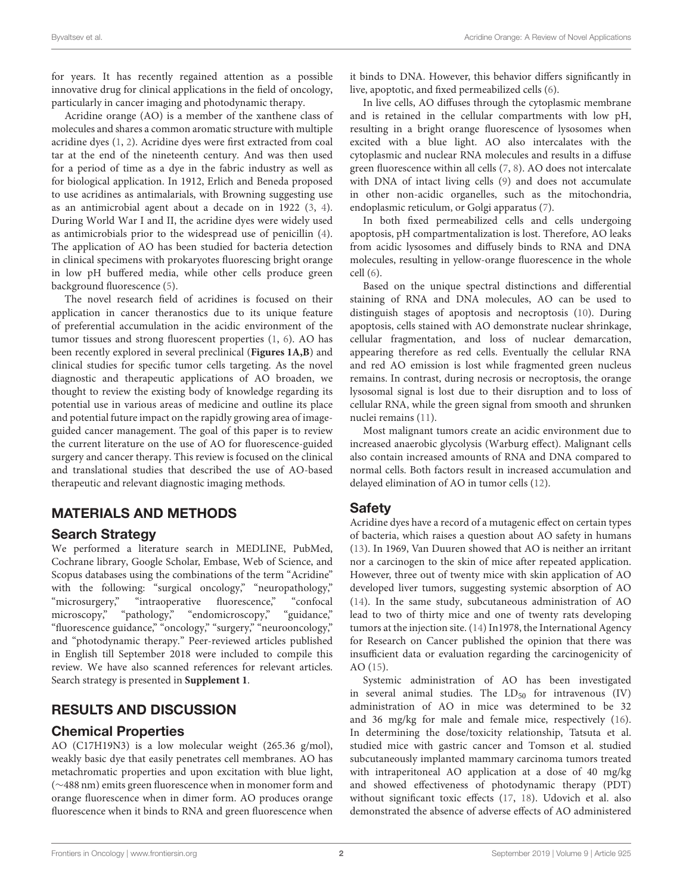for years. It has recently regained attention as a possible innovative drug for clinical applications in the field of oncology, particularly in cancer imaging and photodynamic therapy.

Acridine orange (AO) is a member of the xanthene class of molecules and shares a common aromatic structure with multiple acridine dyes [\(1,](#page-5-0) [2\)](#page-5-1). Acridine dyes were first extracted from coal tar at the end of the nineteenth century. And was then used for a period of time as a dye in the fabric industry as well as for biological application. In 1912, Erlich and Beneda proposed to use acridines as antimalarials, with Browning suggesting use as an antimicrobial agent about a decade on in 1922 [\(3,](#page-5-2) [4\)](#page-5-3). During World War I and II, the acridine dyes were widely used as antimicrobials prior to the widespread use of penicillin [\(4\)](#page-5-3). The application of AO has been studied for bacteria detection in clinical specimens with prokaryotes fluorescing bright orange in low pH buffered media, while other cells produce green background fluorescence [\(5\)](#page-5-4).

The novel research field of acridines is focused on their application in cancer theranostics due to its unique feature of preferential accumulation in the acidic environment of the tumor tissues and strong fluorescent properties [\(1,](#page-5-0) [6\)](#page-5-5). AO has been recently explored in several preclinical (**[Figures 1A,B](#page-2-0)**) and clinical studies for specific tumor cells targeting. As the novel diagnostic and therapeutic applications of AO broaden, we thought to review the existing body of knowledge regarding its potential use in various areas of medicine and outline its place and potential future impact on the rapidly growing area of imageguided cancer management. The goal of this paper is to review the current literature on the use of AO for fluorescence-guided surgery and cancer therapy. This review is focused on the clinical and translational studies that described the use of AO-based therapeutic and relevant diagnostic imaging methods.

### MATERIALS AND METHODS

### Search Strategy

We performed a literature search in MEDLINE, PubMed, Cochrane library, Google Scholar, Embase, Web of Science, and Scopus databases using the combinations of the term "Acridine" with the following: "surgical oncology," "neuropathology," "microsurgery," "intraoperative fluorescence," "confocal microscopy," "pathology," "endomicroscopy," "guidance," "fluorescence guidance," "oncology," "surgery," "neurooncology," and "photodynamic therapy." Peer-reviewed articles published in English till September 2018 were included to compile this review. We have also scanned references for relevant articles. Search strategy is presented in **[Supplement 1](#page-5-6)**.

### RESULTS AND DISCUSSION

#### Chemical Properties

AO (C17H19N3) is a low molecular weight (265.36 g/mol), weakly basic dye that easily penetrates cell membranes. AO has metachromatic properties and upon excitation with blue light, (∼488 nm) emits green fluorescence when in monomer form and orange fluorescence when in dimer form. AO produces orange fluorescence when it binds to RNA and green fluorescence when it binds to DNA. However, this behavior differs significantly in live, apoptotic, and fixed permeabilized cells [\(6\)](#page-5-5).

In live cells, AO diffuses through the cytoplasmic membrane and is retained in the cellular compartments with low pH, resulting in a bright orange fluorescence of lysosomes when excited with a blue light. AO also intercalates with the cytoplasmic and nuclear RNA molecules and results in a diffuse green fluorescence within all cells [\(7,](#page-5-7) [8\)](#page-5-8). AO does not intercalate with DNA of intact living cells [\(9\)](#page-5-9) and does not accumulate in other non-acidic organelles, such as the mitochondria, endoplasmic reticulum, or Golgi apparatus [\(7\)](#page-5-7).

In both fixed permeabilized cells and cells undergoing apoptosis, pH compartmentalization is lost. Therefore, AO leaks from acidic lysosomes and diffusely binds to RNA and DNA molecules, resulting in yellow-orange fluorescence in the whole cell [\(6\)](#page-5-5).

Based on the unique spectral distinctions and differential staining of RNA and DNA molecules, AO can be used to distinguish stages of apoptosis and necroptosis [\(10\)](#page-5-10). During apoptosis, cells stained with AO demonstrate nuclear shrinkage, cellular fragmentation, and loss of nuclear demarcation, appearing therefore as red cells. Eventually the cellular RNA and red AO emission is lost while fragmented green nucleus remains. In contrast, during necrosis or necroptosis, the orange lysosomal signal is lost due to their disruption and to loss of cellular RNA, while the green signal from smooth and shrunken nuclei remains [\(11\)](#page-5-11).

Most malignant tumors create an acidic environment due to increased anaerobic glycolysis (Warburg effect). Malignant cells also contain increased amounts of RNA and DNA compared to normal cells. Both factors result in increased accumulation and delayed elimination of AO in tumor cells [\(12\)](#page-5-12).

### **Safety**

Acridine dyes have a record of a mutagenic effect on certain types of bacteria, which raises a question about AO safety in humans [\(13\)](#page-5-13). In 1969, Van Duuren showed that AO is neither an irritant nor a carcinogen to the skin of mice after repeated application. However, three out of twenty mice with skin application of AO developed liver tumors, suggesting systemic absorption of AO [\(14\)](#page-5-14). In the same study, subcutaneous administration of AO lead to two of thirty mice and one of twenty rats developing tumors at the injection site. [\(14\)](#page-5-14) In1978, the International Agency for Research on Cancer published the opinion that there was insufficient data or evaluation regarding the carcinogenicity of AO [\(15\)](#page-5-15).

Systemic administration of AO has been investigated in several animal studies. The  $LD_{50}$  for intravenous (IV) administration of AO in mice was determined to be 32 and 36 mg/kg for male and female mice, respectively [\(16\)](#page-5-16). In determining the dose/toxicity relationship, Tatsuta et al. studied mice with gastric cancer and Tomson et al. studied subcutaneously implanted mammary carcinoma tumors treated with intraperitoneal AO application at a dose of 40 mg/kg and showed effectiveness of photodynamic therapy (PDT) without significant toxic effects [\(17,](#page-5-17) [18\)](#page-5-18). Udovich et al. also demonstrated the absence of adverse effects of AO administered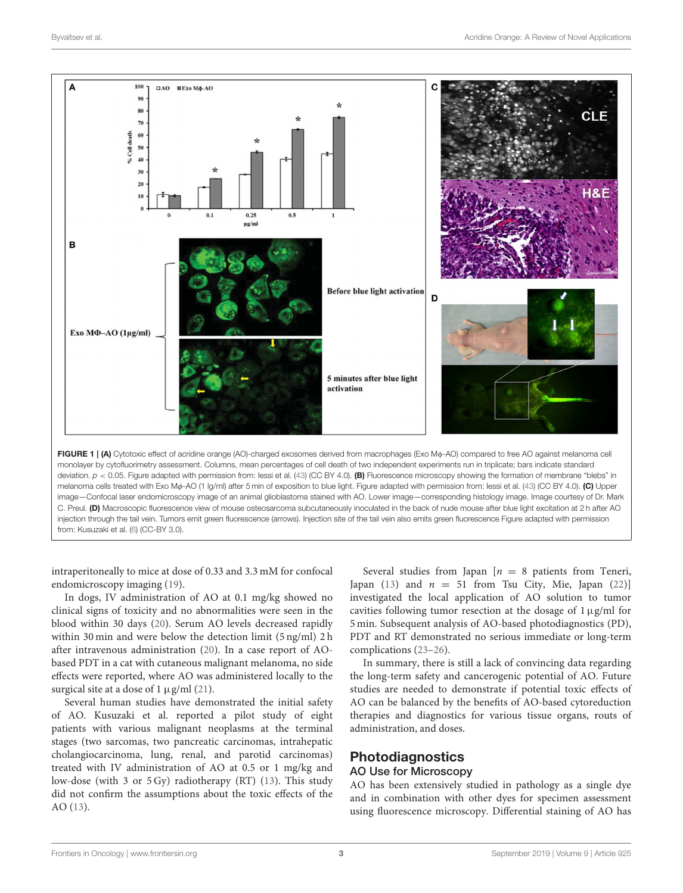

<span id="page-2-0"></span>image—Confocal laser endomicroscopy image of an animal glioblastoma stained with AO. Lower image—corresponding histology image. Image courtesy of Dr. Mark C. Preul. (D) Macroscopic fluorescence view of mouse osteosarcoma subcutaneously inoculated in the back of nude mouse after blue light excitation at 2 h after AO injection through the tail vein. Tumors emit green fluorescence (arrows). Injection site of the tail vein also emits green fluorescence Figure adapted with permission from: Kusuzaki et al. [\(6\)](#page-5-5) (CC-BY 3.0).

intraperitoneally to mice at dose of 0.33 and 3.3 mM for confocal endomicroscopy imaging [\(19\)](#page-5-19).

In dogs, IV administration of AO at 0.1 mg/kg showed no clinical signs of toxicity and no abnormalities were seen in the blood within 30 days [\(20\)](#page-5-20). Serum AO levels decreased rapidly within 30 min and were below the detection limit (5 ng/ml) 2 h after intravenous administration [\(20\)](#page-5-20). In a case report of AObased PDT in a cat with cutaneous malignant melanoma, no side effects were reported, where AO was administered locally to the surgical site at a dose of 1  $\mu$ g/ml [\(21\)](#page-5-21).

Several human studies have demonstrated the initial safety of AO. Kusuzaki et al. reported a pilot study of eight patients with various malignant neoplasms at the terminal stages (two sarcomas, two pancreatic carcinomas, intrahepatic cholangiocarcinoma, lung, renal, and parotid carcinomas) treated with IV administration of AO at 0.5 or 1 mg/kg and low-dose (with 3 or 5 Gy) radiotherapy (RT) [\(13\)](#page-5-13). This study did not confirm the assumptions about the toxic effects of the AO [\(13\)](#page-5-13).

Several studies from Japan  $[n = 8]$  patients from Teneri, Japan [\(13\)](#page-5-13) and  $n = 51$  from Tsu City, Mie, Japan [\(22\)](#page-5-22)] investigated the local application of AO solution to tumor cavities following tumor resection at the dosage of  $1 \mu$ g/ml for 5 min. Subsequent analysis of AO-based photodiagnostics (PD), PDT and RT demonstrated no serious immediate or long-term complications [\(23](#page-5-23)[–26\)](#page-6-1).

In summary, there is still a lack of convincing data regarding the long-term safety and cancerogenic potential of AO. Future studies are needed to demonstrate if potential toxic effects of AO can be balanced by the benefits of AO-based cytoreduction therapies and diagnostics for various tissue organs, routs of administration, and doses.

## Photodiagnostics

### AO Use for Microscopy

AO has been extensively studied in pathology as a single dye and in combination with other dyes for specimen assessment using fluorescence microscopy. Differential staining of AO has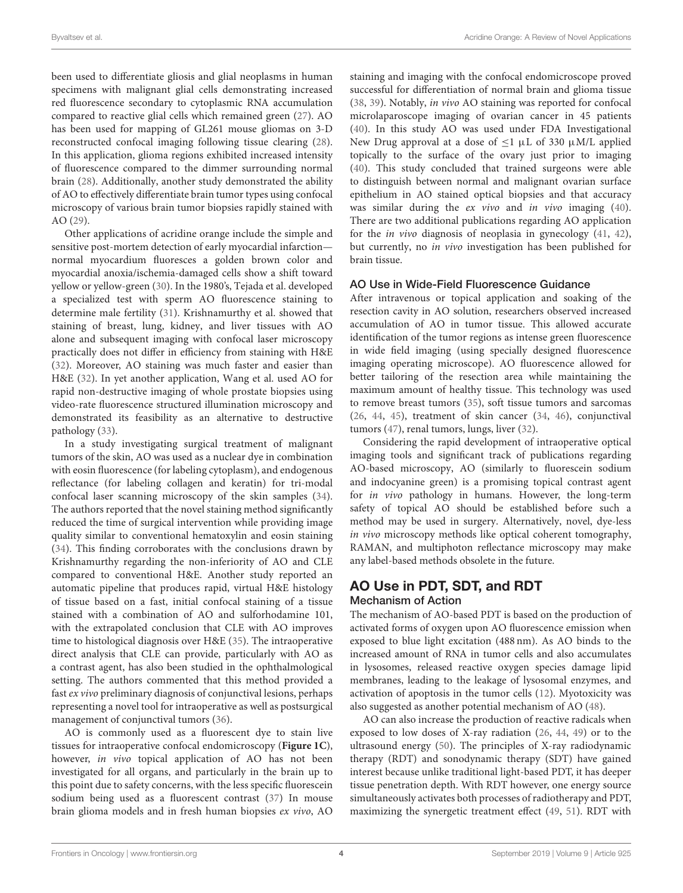been used to differentiate gliosis and glial neoplasms in human specimens with malignant glial cells demonstrating increased red fluorescence secondary to cytoplasmic RNA accumulation compared to reactive glial cells which remained green [\(27\)](#page-6-2). AO has been used for mapping of GL261 mouse gliomas on 3-D reconstructed confocal imaging following tissue clearing [\(28\)](#page-6-3). In this application, glioma regions exhibited increased intensity of fluorescence compared to the dimmer surrounding normal brain [\(28\)](#page-6-3). Additionally, another study demonstrated the ability of AO to effectively differentiate brain tumor types using confocal microscopy of various brain tumor biopsies rapidly stained with AO [\(29\)](#page-6-4).

Other applications of acridine orange include the simple and sensitive post-mortem detection of early myocardial infarction normal myocardium fluoresces a golden brown color and myocardial anoxia/ischemia-damaged cells show a shift toward yellow or yellow-green [\(30\)](#page-6-5). In the 1980's, Tejada et al. developed a specialized test with sperm AO fluorescence staining to determine male fertility [\(31\)](#page-6-6). Krishnamurthy et al. showed that staining of breast, lung, kidney, and liver tissues with AO alone and subsequent imaging with confocal laser microscopy practically does not differ in efficiency from staining with H&E [\(32\)](#page-6-7). Moreover, AO staining was much faster and easier than H&E [\(32\)](#page-6-7). In yet another application, Wang et al. used AO for rapid non-destructive imaging of whole prostate biopsies using video-rate fluorescence structured illumination microscopy and demonstrated its feasibility as an alternative to destructive pathology [\(33\)](#page-6-8).

In a study investigating surgical treatment of malignant tumors of the skin, AO was used as a nuclear dye in combination with eosin fluorescence (for labeling cytoplasm), and endogenous reflectance (for labeling collagen and keratin) for tri-modal confocal laser scanning microscopy of the skin samples [\(34\)](#page-6-9). The authors reported that the novel staining method significantly reduced the time of surgical intervention while providing image quality similar to conventional hematoxylin and eosin staining [\(34\)](#page-6-9). This finding corroborates with the conclusions drawn by Krishnamurthy regarding the non-inferiority of AO and CLE compared to conventional H&E. Another study reported an automatic pipeline that produces rapid, virtual H&E histology of tissue based on a fast, initial confocal staining of a tissue stained with a combination of AO and sulforhodamine 101, with the extrapolated conclusion that CLE with AO improves time to histological diagnosis over H&E [\(35\)](#page-6-10). The intraoperative direct analysis that CLE can provide, particularly with AO as a contrast agent, has also been studied in the ophthalmological setting. The authors commented that this method provided a fast ex vivo preliminary diagnosis of conjunctival lesions, perhaps representing a novel tool for intraoperative as well as postsurgical management of conjunctival tumors [\(36\)](#page-6-11).

AO is commonly used as a fluorescent dye to stain live tissues for intraoperative confocal endomicroscopy (**[Figure 1C](#page-2-0)**), however, in vivo topical application of AO has not been investigated for all organs, and particularly in the brain up to this point due to safety concerns, with the less specific fluorescein sodium being used as a fluorescent contrast [\(37\)](#page-6-12) In mouse brain glioma models and in fresh human biopsies ex vivo, AO staining and imaging with the confocal endomicroscope proved successful for differentiation of normal brain and glioma tissue [\(38,](#page-6-13) [39\)](#page-6-14). Notably, in vivo AO staining was reported for confocal microlaparoscope imaging of ovarian cancer in 45 patients [\(40\)](#page-6-15). In this study AO was used under FDA Investigational New Drug approval at a dose of  $\leq 1 \mu L$  of 330  $\mu M/L$  applied topically to the surface of the ovary just prior to imaging [\(40\)](#page-6-15). This study concluded that trained surgeons were able to distinguish between normal and malignant ovarian surface epithelium in AO stained optical biopsies and that accuracy was similar during the ex vivo and in vivo imaging [\(40\)](#page-6-15). There are two additional publications regarding AO application for the in vivo diagnosis of neoplasia in gynecology [\(41,](#page-6-16) [42\)](#page-6-17), but currently, no in vivo investigation has been published for brain tissue.

#### AO Use in Wide-Field Fluorescence Guidance

After intravenous or topical application and soaking of the resection cavity in AO solution, researchers observed increased accumulation of AO in tumor tissue. This allowed accurate identification of the tumor regions as intense green fluorescence in wide field imaging (using specially designed fluorescence imaging operating microscope). AO fluorescence allowed for better tailoring of the resection area while maintaining the maximum amount of healthy tissue. This technology was used to remove breast tumors [\(35\)](#page-6-10), soft tissue tumors and sarcomas [\(26,](#page-6-1) [44,](#page-6-18) [45\)](#page-6-19), treatment of skin cancer [\(34,](#page-6-9) [46\)](#page-6-20), conjunctival tumors [\(47\)](#page-6-21), renal tumors, lungs, liver [\(32\)](#page-6-7).

Considering the rapid development of intraoperative optical imaging tools and significant track of publications regarding AO-based microscopy, AO (similarly to fluorescein sodium and indocyanine green) is a promising topical contrast agent for in vivo pathology in humans. However, the long-term safety of topical AO should be established before such a method may be used in surgery. Alternatively, novel, dye-less in vivo microscopy methods like optical coherent tomography, RAMAN, and multiphoton reflectance microscopy may make any label-based methods obsolete in the future.

#### AO Use in PDT, SDT, and RDT Mechanism of Action

The mechanism of AO-based PDT is based on the production of activated forms of oxygen upon AO fluorescence emission when exposed to blue light excitation (488 nm). As AO binds to the increased amount of RNA in tumor cells and also accumulates in lysosomes, released reactive oxygen species damage lipid membranes, leading to the leakage of lysosomal enzymes, and activation of apoptosis in the tumor cells [\(12\)](#page-5-12). Myotoxicity was also suggested as another potential mechanism of AO [\(48\)](#page-6-22).

AO can also increase the production of reactive radicals when exposed to low doses of X-ray radiation [\(26,](#page-6-1) [44,](#page-6-18) [49\)](#page-6-23) or to the ultrasound energy [\(50\)](#page-6-24). The principles of X-ray radiodynamic therapy (RDT) and sonodynamic therapy (SDT) have gained interest because unlike traditional light-based PDT, it has deeper tissue penetration depth. With RDT however, one energy source simultaneously activates both processes of radiotherapy and PDT, maximizing the synergetic treatment effect [\(49,](#page-6-23) [51\)](#page-6-25). RDT with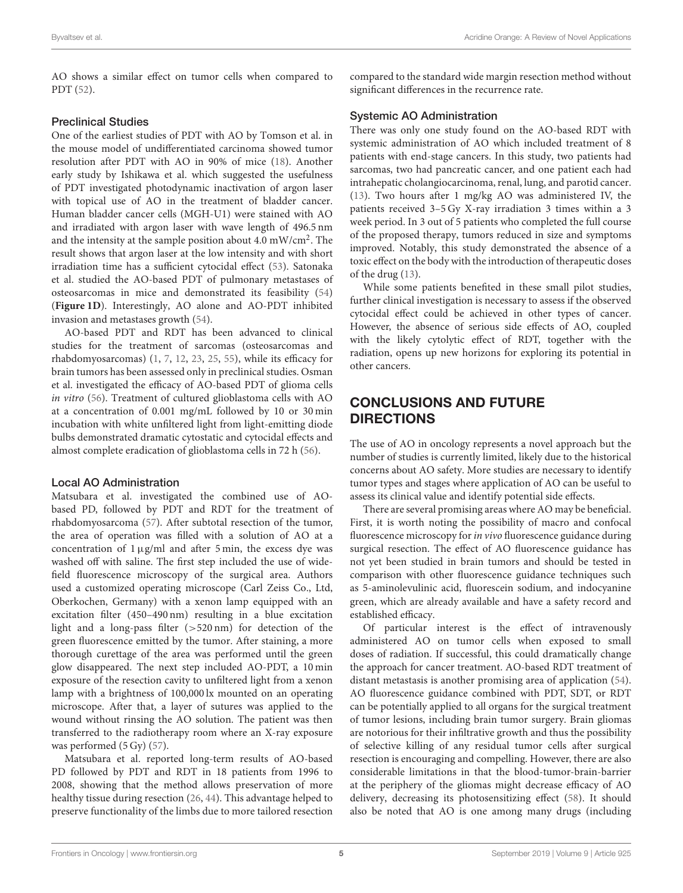AO shows a similar effect on tumor cells when compared to PDT [\(52\)](#page-6-26).

#### Preclinical Studies

One of the earliest studies of PDT with AO by Tomson et al. in the mouse model of undifferentiated carcinoma showed tumor resolution after PDT with AO in 90% of mice [\(18\)](#page-5-18). Another early study by Ishikawa et al. which suggested the usefulness of PDT investigated photodynamic inactivation of argon laser with topical use of AO in the treatment of bladder cancer. Human bladder cancer cells (MGH-U1) were stained with AO and irradiated with argon laser with wave length of 496.5 nm and the intensity at the sample position about 4.0 mW/cm<sup>2</sup>. The result shows that argon laser at the low intensity and with short irradiation time has a sufficient cytocidal effect [\(53\)](#page-6-27). Satonaka et al. studied the AO-based PDT of pulmonary metastases of osteosarcomas in mice and demonstrated its feasibility [\(54\)](#page-6-28) (**[Figure 1D](#page-2-0)**). Interestingly, AO alone and AO-PDT inhibited invasion and metastases growth [\(54\)](#page-6-28).

AO-based PDT and RDT has been advanced to clinical studies for the treatment of sarcomas (osteosarcomas and rhabdomyosarcomas) [\(1,](#page-5-0) [7,](#page-5-7) [12,](#page-5-12) [23,](#page-5-23) [25,](#page-6-29) [55\)](#page-6-30), while its efficacy for brain tumors has been assessed only in preclinical studies. Osman et al. investigated the efficacy of AO-based PDT of glioma cells in vitro [\(56\)](#page-6-31). Treatment of cultured glioblastoma cells with AO at a concentration of 0.001 mg/mL followed by 10 or 30 min incubation with white unfiltered light from light-emitting diode bulbs demonstrated dramatic cytostatic and cytocidal effects and almost complete eradication of glioblastoma cells in 72 h [\(56\)](#page-6-31).

#### Local AO Administration

Matsubara et al. investigated the combined use of AObased PD, followed by PDT and RDT for the treatment of rhabdomyosarcoma [\(57\)](#page-6-32). After subtotal resection of the tumor, the area of operation was filled with a solution of AO at a concentration of  $1 \mu$ g/ml and after 5 min, the excess dye was washed off with saline. The first step included the use of widefield fluorescence microscopy of the surgical area. Authors used a customized operating microscope (Carl Zeiss Co., Ltd, Oberkochen, Germany) with a xenon lamp equipped with an excitation filter (450–490 nm) resulting in a blue excitation light and a long-pass filter (>520 nm) for detection of the green fluorescence emitted by the tumor. After staining, a more thorough curettage of the area was performed until the green glow disappeared. The next step included AO-PDT, a 10 min exposure of the resection cavity to unfiltered light from a xenon lamp with a brightness of 100,000 lx mounted on an operating microscope. After that, a layer of sutures was applied to the wound without rinsing the AO solution. The patient was then transferred to the radiotherapy room where an X-ray exposure was performed (5 Gy) [\(57\)](#page-6-32).

Matsubara et al. reported long-term results of AO-based PD followed by PDT and RDT in 18 patients from 1996 to 2008, showing that the method allows preservation of more healthy tissue during resection [\(26,](#page-6-1) [44\)](#page-6-18). This advantage helped to preserve functionality of the limbs due to more tailored resection compared to the standard wide margin resection method without significant differences in the recurrence rate.

#### Systemic AO Administration

There was only one study found on the AO-based RDT with systemic administration of AO which included treatment of 8 patients with end-stage cancers. In this study, two patients had sarcomas, two had pancreatic cancer, and one patient each had intrahepatic cholangiocarcinoma, renal, lung, and parotid cancer. [\(13\)](#page-5-13). Two hours after 1 mg/kg AO was administered IV, the patients received 3–5 Gy X-ray irradiation 3 times within a 3 week period. In 3 out of 5 patients who completed the full course of the proposed therapy, tumors reduced in size and symptoms improved. Notably, this study demonstrated the absence of a toxic effect on the body with the introduction of therapeutic doses of the drug [\(13\)](#page-5-13).

While some patients benefited in these small pilot studies, further clinical investigation is necessary to assess if the observed cytocidal effect could be achieved in other types of cancer. However, the absence of serious side effects of AO, coupled with the likely cytolytic effect of RDT, together with the radiation, opens up new horizons for exploring its potential in other cancers.

### CONCLUSIONS AND FUTURE **DIRECTIONS**

The use of AO in oncology represents a novel approach but the number of studies is currently limited, likely due to the historical concerns about AO safety. More studies are necessary to identify tumor types and stages where application of AO can be useful to assess its clinical value and identify potential side effects.

There are several promising areas where AO may be beneficial. First, it is worth noting the possibility of macro and confocal fluorescence microscopy for in vivo fluorescence guidance during surgical resection. The effect of AO fluorescence guidance has not yet been studied in brain tumors and should be tested in comparison with other fluorescence guidance techniques such as 5-aminolevulinic acid, fluorescein sodium, and indocyanine green, which are already available and have a safety record and established efficacy.

Of particular interest is the effect of intravenously administered AO on tumor cells when exposed to small doses of radiation. If successful, this could dramatically change the approach for cancer treatment. AO-based RDT treatment of distant metastasis is another promising area of application [\(54\)](#page-6-28). AO fluorescence guidance combined with PDT, SDT, or RDT can be potentially applied to all organs for the surgical treatment of tumor lesions, including brain tumor surgery. Brain gliomas are notorious for their infiltrative growth and thus the possibility of selective killing of any residual tumor cells after surgical resection is encouraging and compelling. However, there are also considerable limitations in that the blood-tumor-brain-barrier at the periphery of the gliomas might decrease efficacy of AO delivery, decreasing its photosensitizing effect [\(58\)](#page-6-33). It should also be noted that AO is one among many drugs (including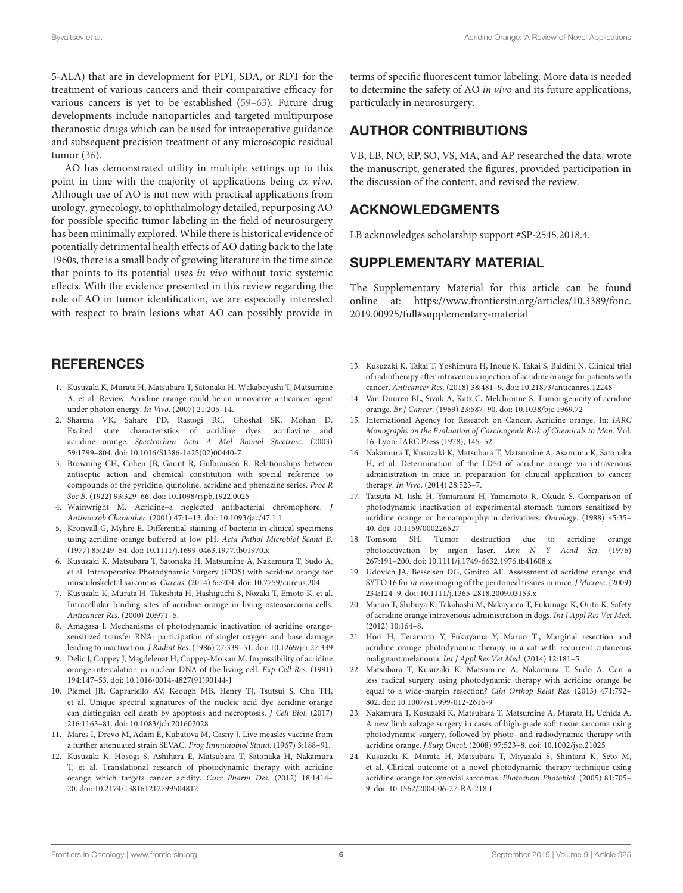5-ALA) that are in development for PDT, SDA, or RDT for the treatment of various cancers and their comparative efficacy for various cancers is yet to be established [\(59–](#page-6-34)[63\)](#page-7-0). Future drug developments include nanoparticles and targeted multipurpose theranostic drugs which can be used for intraoperative guidance and subsequent precision treatment of any microscopic residual tumor [\(36\)](#page-6-11).

AO has demonstrated utility in multiple settings up to this point in time with the majority of applications being ex vivo. Although use of AO is not new with practical applications from urology, gynecology, to ophthalmology detailed, repurposing AO for possible specific tumor labeling in the field of neurosurgery has been minimally explored. While there is historical evidence of potentially detrimental health effects of AO dating back to the late 1960s, there is a small body of growing literature in the time since that points to its potential uses in vivo without toxic systemic effects. With the evidence presented in this review regarding the role of AO in tumor identification, we are especially interested with respect to brain lesions what AO can possibly provide in

#### **REFERENCES**

- <span id="page-5-0"></span>1. Kusuzaki K, Murata H, Matsubara T, Satonaka H, Wakabayashi T, Matsumine A, et al. Review. Acridine orange could be an innovative anticancer agent under photon energy. In Vivo. (2007) 21:205–14.
- <span id="page-5-1"></span>2. Sharma VK, Sahare PD, Rastogi RC, Ghoshal SK, Mohan D. Excited state characteristics of acridine dyes: acriflavine and acridine orange. Spectrochim Acta A Mol Biomol Spectrosc. (2003) 59:1799–804. doi: [10.1016/S1386-1425\(02\)00440-7](https://doi.org/10.1016/S1386-1425(02)00440-7)
- <span id="page-5-2"></span>3. Browning CH, Cohen JB, Gaunt R, Gulbransen R. Relationships between antiseptic action and chemical constitution with special reference to compounds of the pyridine, quinoline, acridine and phenazine series. Proc R Soc B. (1922) 93:329–66. doi: [10.1098/rspb.1922.0025](https://doi.org/10.1098/rspb.1922.0025)
- <span id="page-5-3"></span>4. Wainwright M. Acridine–a neglected antibacterial chromophore. J Antimicrob Chemother. (2001) 47:1–13. doi: [10.1093/jac/47.1.1](https://doi.org/10.1093/jac/47.1.1)
- <span id="page-5-4"></span>5. Kronvall G, Myhre E. Differential staining of bacteria in clinical specimens using acridine orange buffered at low pH. Acta Pathol Microbiol Scand B. (1977) 85:249–54. doi: [10.1111/j.1699-0463.1977.tb01970.x](https://doi.org/10.1111/j.1699-0463.1977.tb01970.x)
- <span id="page-5-5"></span>6. Kusuzaki K, Matsubara T, Satonaka H, Matsumine A, Nakamura T, Sudo A, et al. Intraoperative Photodynamic Surgery (iPDS) with acridine orange for musculoskeletal sarcomas. Cureus. (2014) 6:e204. doi: [10.7759/cureus.204](https://doi.org/10.7759/cureus.204)
- <span id="page-5-7"></span>7. Kusuzaki K, Murata H, Takeshita H, Hashiguchi S, Nozaki T, Emoto K, et al. Intracellular binding sites of acridine orange in living osteosarcoma cells. Anticancer Res. (2000) 20:971–5.
- <span id="page-5-8"></span>8. Amagasa J. Mechanisms of photodynamic inactivation of acridine orangesensitized transfer RNA: participation of singlet oxygen and base damage leading to inactivation. J Radiat Res. (1986) 27:339–51. doi: [10.1269/jrr.27.339](https://doi.org/10.1269/jrr.27.339)
- <span id="page-5-9"></span>9. Delic J, Coppey J, Magdelenat H, Coppey-Moisan M. Impossibility of acridine orange intercalation in nuclear DNA of the living cell. Exp Cell Res. (1991) 194:147–53. doi: [10.1016/0014-4827\(91\)90144-J](https://doi.org/10.1016/0014-4827(91)90144-J)
- <span id="page-5-10"></span>10. Plemel JR, Caprariello AV, Keough MB, Henry TJ, Tsutsui S, Chu TH, et al. Unique spectral signatures of the nucleic acid dye acridine orange can distinguish cell death by apoptosis and necroptosis. J Cell Biol. (2017) 216:1163–81. doi: [10.1083/jcb.201602028](https://doi.org/10.1083/jcb.201602028)
- <span id="page-5-11"></span>11. Mares I, Drevo M, Adam E, Kubatova M, Casny J. Live measles vaccine from a further attenuated strain SEVAC. Prog Immunobiol Stand. (1967) 3:188–91.
- <span id="page-5-12"></span>12. Kusuzaki K, Hosogi S, Ashihara E, Matsubara T, Satonaka H, Nakamura T, et al. Translational research of photodynamic therapy with acridine orange which targets cancer acidity. Curr Pharm Des. (2012) 18:1414– 20. doi: [10.2174/138161212799504812](https://doi.org/10.2174/138161212799504812)

terms of specific fluorescent tumor labeling. More data is needed to determine the safety of AO in vivo and its future applications, particularly in neurosurgery.

#### AUTHOR CONTRIBUTIONS

VB, LB, NO, RP, SO, VS, MA, and AP researched the data, wrote the manuscript, generated the figures, provided participation in the discussion of the content, and revised the review.

#### ACKNOWLEDGMENTS

LB acknowledges scholarship support #SP-2545.2018.4.

#### SUPPLEMENTARY MATERIAL

<span id="page-5-6"></span>The Supplementary Material for this article can be found [online at: https://www.frontiersin.org/articles/10.3389/fonc.](https://www.frontiersin.org/articles/10.3389/fonc.2019.00925/full#supplementary-material) 2019.00925/full#supplementary-material

- <span id="page-5-13"></span>13. Kusuzaki K, Takai T, Yoshimura H, Inoue K, Takai S, Baldini N. Clinical trial of radiotherapy after intravenous injection of acridine orange for patients with cancer. Anticancer Res. (2018) 38:481–9. doi: [10.21873/anticanres.12248](https://doi.org/10.21873/anticanres.12248)
- <span id="page-5-14"></span>14. Van Duuren BL, Sivak A, Katz C, Melchionne S. Tumorigenicity of acridine orange. Br J Cancer. (1969) 23:587–90. doi: [10.1038/bjc.1969.72](https://doi.org/10.1038/bjc.1969.72)
- <span id="page-5-15"></span>15. International Agency for Research on Cancer. Acridine orange. In: IARC Monographs on the Evaluation of Carcinogenic Risk of Chemicals to Man. Vol. 16. Lyon: IARC Press (1978), 145–52.
- <span id="page-5-16"></span>16. Nakamura T, Kusuzaki K, Matsubara T, Matsumine A, Asanuma K, Satonaka H, et al. Determination of the LD50 of acridine orange via intravenous administration in mice in preparation for clinical application to cancer therapy. In Vivo. (2014) 28:523–7.
- <span id="page-5-17"></span>17. Tatsuta M, Iishi H, Yamamura H, Yamamoto R, Okuda S. Comparison of photodynamic inactivation of experimental stomach tumors sensitized by acridine orange or hematoporphyrin derivatives. Oncology. (1988) 45:35– 40. doi: [10.1159/000226527](https://doi.org/10.1159/000226527)
- <span id="page-5-18"></span>18. Tomsom SH. Tumor destruction due to acridine orange photoactivation by argon laser. Ann N Y Acad Sci. (1976) 267:191–200. doi: [10.1111/j.1749-6632.1976.tb41608.x](https://doi.org/10.1111/j.1749-6632.1976.tb41608.x)
- <span id="page-5-19"></span>19. Udovich JA, Besselsen DG, Gmitro AF. Assessment of acridine orange and SYTO 16 for in vivo imaging of the peritoneal tissues in mice. J Microsc. (2009) 234:124–9. doi: [10.1111/j.1365-2818.2009.03153.x](https://doi.org/10.1111/j.1365-2818.2009.03153.x)
- <span id="page-5-20"></span>20. Maruo T, Shibuya K, Takahashi M, Nakayama T, Fukunaga K, Orito K. Safety of acridine orange intravenous administration in dogs. Int J Appl Res Vet Med. (2012) 10:164–8.
- <span id="page-5-21"></span>21. Hori H, Teramoto Y, Fukuyama Y, Maruo T., Marginal resection and acridine orange photodynamic therapy in a cat with recurrent cutaneous malignant melanoma. Int J Appl Res Vet Med. (2014) 12:181–5.
- <span id="page-5-22"></span>22. Matsubara T, Kusuzaki K, Matsumine A, Nakamura T, Sudo A. Can a less radical surgery using photodynamic therapy with acridine orange be equal to a wide-margin resection? Clin Orthop Relat Res. (2013) 471:792– 802. doi: [10.1007/s11999-012-2616-9](https://doi.org/10.1007/s11999-012-2616-9)
- <span id="page-5-23"></span>23. Nakamura T, Kusuzaki K, Matsubara T, Matsumine A, Murata H, Uchida A. A new limb salvage surgery in cases of high-grade soft tissue sarcoma using photodynamic surgery, followed by photo- and radiodynamic therapy with acridine orange. J Surg Oncol. (2008) 97:523–8. doi: [10.1002/jso.21025](https://doi.org/10.1002/jso.21025)
- 24. Kusuzaki K, Murata H, Matsubara T, Miyazaki S, Shintani K, Seto M, et al. Clinical outcome of a novel photodynamic therapy technique using acridine orange for synovial sarcomas. Photochem Photobiol. (2005) 81:705– 9. doi: [10.1562/2004-06-27-RA-218.1](https://doi.org/10.1562/2004-06-27-RA-218.1)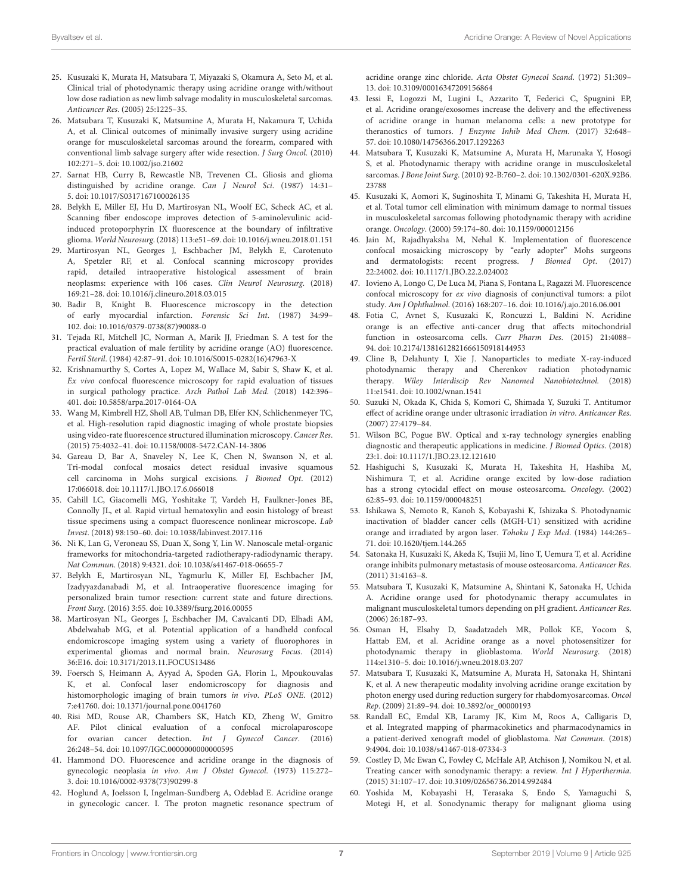- <span id="page-6-29"></span>25. Kusuzaki K, Murata H, Matsubara T, Miyazaki S, Okamura A, Seto M, et al. Clinical trial of photodynamic therapy using acridine orange with/without low dose radiation as new limb salvage modality in musculoskeletal sarcomas. Anticancer Res. (2005) 25:1225–35.
- <span id="page-6-1"></span>26. Matsubara T, Kusuzaki K, Matsumine A, Murata H, Nakamura T, Uchida A, et al. Clinical outcomes of minimally invasive surgery using acridine orange for musculoskeletal sarcomas around the forearm, compared with conventional limb salvage surgery after wide resection. J Surg Oncol. (2010) 102:271–5. doi: [10.1002/jso.21602](https://doi.org/10.1002/jso.21602)
- <span id="page-6-2"></span>27. Sarnat HB, Curry B, Rewcastle NB, Trevenen CL. Gliosis and glioma distinguished by acridine orange. Can J Neurol Sci. (1987) 14:31– 5. doi: [10.1017/S0317167100026135](https://doi.org/10.1017/S0317167100026135)
- <span id="page-6-3"></span>28. Belykh E, Miller EJ, Hu D, Martirosyan NL, Woolf EC, Scheck AC, et al. Scanning fiber endoscope improves detection of 5-aminolevulinic acidinduced protoporphyrin IX fluorescence at the boundary of infiltrative glioma. World Neurosurg. (2018) 113:e51–69. doi: [10.1016/j.wneu.2018.01.151](https://doi.org/10.1016/j.wneu.2018.01.151)
- <span id="page-6-4"></span>29. Martirosyan NL, Georges J, Eschbacher JM, Belykh E, Carotenuto A, Spetzler RF, et al. Confocal scanning microscopy provides rapid, detailed intraoperative histological assessment of brain neoplasms: experience with 106 cases. Clin Neurol Neurosurg. (2018) 169:21–28. doi: [10.1016/j.clineuro.2018.03.015](https://doi.org/10.1016/j.clineuro.2018.03.015)
- <span id="page-6-5"></span>30. Badir B, Knight B. Fluorescence microscopy in the detection of early myocardial infarction. Forensic Sci Int. (1987) 34:99– 102. doi: [10.1016/0379-0738\(87\)90088-0](https://doi.org/10.1016/0379-0738(87)90088-0)
- <span id="page-6-6"></span>31. Tejada RI, Mitchell JC, Norman A, Marik JJ, Friedman S. A test for the practical evaluation of male fertility by acridine orange (AO) fluorescence. Fertil Steril. (1984) 42:87–91. doi: [10.1016/S0015-0282\(16\)47963-X](https://doi.org/10.1016/S0015-0282(16)47963-X)
- <span id="page-6-7"></span>32. Krishnamurthy S, Cortes A, Lopez M, Wallace M, Sabir S, Shaw K, et al. Ex vivo confocal fluorescence microscopy for rapid evaluation of tissues in surgical pathology practice. Arch Pathol Lab Med. (2018) 142:396– 401. doi: [10.5858/arpa.2017-0164-OA](https://doi.org/10.5858/arpa.2017-0164-OA)
- <span id="page-6-8"></span>33. Wang M, Kimbrell HZ, Sholl AB, Tulman DB, Elfer KN, Schlichenmeyer TC, et al. High-resolution rapid diagnostic imaging of whole prostate biopsies using video-rate fluorescence structured illumination microscopy. Cancer Res. (2015) 75:4032–41. doi: [10.1158/0008-5472.CAN-14-3806](https://doi.org/10.1158/0008-5472.CAN-14-3806)
- <span id="page-6-9"></span>34. Gareau D, Bar A, Snaveley N, Lee K, Chen N, Swanson N, et al. Tri-modal confocal mosaics detect residual invasive squamous cell carcinoma in Mohs surgical excisions. J Biomed Opt. (2012) 17:066018. doi: [10.1117/1.JBO.17.6.066018](https://doi.org/10.1117/1.JBO.17.6.066018)
- <span id="page-6-10"></span>35. Cahill LC, Giacomelli MG, Yoshitake T, Vardeh H, Faulkner-Jones BE, Connolly JL, et al. Rapid virtual hematoxylin and eosin histology of breast tissue specimens using a compact fluorescence nonlinear microscope. Lab Invest. (2018) 98:150–60. doi: [10.1038/labinvest.2017.116](https://doi.org/10.1038/labinvest.2017.116)
- <span id="page-6-11"></span>36. Ni K, Lan G, Veroneau SS, Duan X, Song Y, Lin W. Nanoscale metal-organic frameworks for mitochondria-targeted radiotherapy-radiodynamic therapy. Nat Commun. (2018) 9:4321. doi: [10.1038/s41467-018-06655-7](https://doi.org/10.1038/s41467-018-06655-7)
- <span id="page-6-12"></span>37. Belykh E, Martirosyan NL, Yagmurlu K, Miller EJ, Eschbacher JM, Izadyyazdanabadi M, et al. Intraoperative fluorescence imaging for personalized brain tumor resection: current state and future directions. Front Surg. (2016) 3:55. doi: [10.3389/fsurg.2016.00055](https://doi.org/10.3389/fsurg.2016.00055)
- <span id="page-6-13"></span>38. Martirosyan NL, Georges J, Eschbacher JM, Cavalcanti DD, Elhadi AM, Abdelwahab MG, et al. Potential application of a handheld confocal endomicroscope imaging system using a variety of fluorophores in experimental gliomas and normal brain. Neurosurg Focus. (2014) 36:E16. doi: [10.3171/2013.11.FOCUS13486](https://doi.org/10.3171/2013.11.FOCUS13486)
- <span id="page-6-14"></span>39. Foersch S, Heimann A, Ayyad A, Spoden GA, Florin L, Mpoukouvalas K, et al. Confocal laser endomicroscopy for diagnosis and histomorphologic imaging of brain tumors in vivo. PLoS ONE. (2012) 7:e41760. doi: [10.1371/journal.pone.0041760](https://doi.org/10.1371/journal.pone.0041760)
- <span id="page-6-15"></span>40. Risi MD, Rouse AR, Chambers SK, Hatch KD, Zheng W, Gmitro AF. Pilot clinical evaluation of a confocal microlaparoscope for ovarian cancer detection. Int J Gynecol Cancer. (2016) 26:248–54. doi: [10.1097/IGC.0000000000000595](https://doi.org/10.1097/IGC.0000000000000595)
- <span id="page-6-16"></span>41. Hammond DO. Fluorescence and acridine orange in the diagnosis of gynecologic neoplasia in vivo. Am J Obstet Gynecol. (1973) 115:272– 3. doi: [10.1016/0002-9378\(73\)90299-8](https://doi.org/10.1016/0002-9378(73)90299-8)
- <span id="page-6-17"></span>42. Hoglund A, Joelsson I, Ingelman-Sundberg A, Odeblad E. Acridine orange in gynecologic cancer. I. The proton magnetic resonance spectrum of

acridine orange zinc chloride. Acta Obstet Gynecol Scand. (1972) 51:309– 13. doi: [10.3109/00016347209156864](https://doi.org/10.3109/00016347209156864)

- <span id="page-6-0"></span>43. Iessi E, Logozzi M, Lugini L, Azzarito T, Federici C, Spugnini EP, et al. Acridine orange/exosomes increase the delivery and the effectiveness of acridine orange in human melanoma cells: a new prototype for theranostics of tumors. J Enzyme Inhib Med Chem. (2017) 32:648– 57. doi: [10.1080/14756366.2017.1292263](https://doi.org/10.1080/14756366.2017.1292263~)
- <span id="page-6-18"></span>44. Matsubara T, Kusuzaki K, Matsumine A, Murata H, Marunaka Y, Hosogi S, et al. Photodynamic therapy with acridine orange in musculoskeletal sarcomas. J Bone Joint Surg[. \(2010\) 92-B:760–2. doi: 10.1302/0301-620X.92B6.](https://doi.org/10.1302/0301-620X.92B6.23788) 23788
- <span id="page-6-19"></span>45. Kusuzaki K, Aomori K, Suginoshita T, Minami G, Takeshita H, Murata H, et al. Total tumor cell elimination with minimum damage to normal tissues in musculoskeletal sarcomas following photodynamic therapy with acridine orange. Oncology. (2000) 59:174–80. doi: [10.1159/000012156](https://doi.org/10.1159/000012156)
- <span id="page-6-20"></span>46. Jain M, Rajadhyaksha M, Nehal K. Implementation of fluorescence confocal mosaicking microscopy by "early adopter" Mohs surgeons and dermatologists: recent progress. J Biomed Opt. (2017) 22:24002. doi: [10.1117/1.JBO.22.2.024002](https://doi.org/10.1117/1.JBO.22.2.024002)
- <span id="page-6-21"></span>47. Iovieno A, Longo C, De Luca M, Piana S, Fontana L, Ragazzi M. Fluorescence confocal microscopy for ex vivo diagnosis of conjunctival tumors: a pilot study. Am J Ophthalmol. (2016) 168:207–16. doi: [10.1016/j.ajo.2016.06.001](https://doi.org/10.1016/j.ajo.2016.06.001)
- <span id="page-6-22"></span>48. Fotia C, Avnet S, Kusuzaki K, Roncuzzi L, Baldini N. Acridine orange is an effective anti-cancer drug that affects mitochondrial function in osteosarcoma cells. Curr Pharm Des. (2015) 21:4088– 94. doi: [10.2174/1381612821666150918144953](https://doi.org/10.2174/1381612821666150918144953)
- <span id="page-6-23"></span>49. Cline B, Delahunty I, Xie J. Nanoparticles to mediate X-ray-induced photodynamic therapy and Cherenkov radiation photodynamic therapy. Wiley Interdiscip Rev Nanomed Nanobiotechnol. (2018) 11:e1541. doi: [10.1002/wnan.1541](https://doi.org/10.1002/wnan.1541)
- <span id="page-6-24"></span>50. Suzuki N, Okada K, Chida S, Komori C, Shimada Y, Suzuki T. Antitumor effect of acridine orange under ultrasonic irradiation in vitro. Anticancer Res. (2007) 27:4179–84.
- <span id="page-6-25"></span>51. Wilson BC, Pogue BW. Optical and x-ray technology synergies enabling diagnostic and therapeutic applications in medicine. J Biomed Optics. (2018) 23:1. doi: [10.1117/1.JBO.23.12.121610](https://doi.org/10.1117/1.JBO.23.12.121610)
- <span id="page-6-26"></span>52. Hashiguchi S, Kusuzaki K, Murata H, Takeshita H, Hashiba M, Nishimura T, et al. Acridine orange excited by low-dose radiation has a strong cytocidal effect on mouse osteosarcoma. Oncology. (2002) 62:85–93. doi: [10.1159/000048251](https://doi.org/10.1159/000048251)
- <span id="page-6-27"></span>53. Ishikawa S, Nemoto R, Kanoh S, Kobayashi K, Ishizaka S. Photodynamic inactivation of bladder cancer cells (MGH-U1) sensitized with acridine orange and irradiated by argon laser. Tohoku J Exp Med. (1984) 144:265– 71. doi: [10.1620/tjem.144.265](https://doi.org/10.1620/tjem.144.265)
- <span id="page-6-28"></span>54. Satonaka H, Kusuzaki K, Akeda K, Tsujii M, Iino T, Uemura T, et al. Acridine orange inhibits pulmonary metastasis of mouse osteosarcoma. Anticancer Res. (2011) 31:4163–8.
- <span id="page-6-30"></span>55. Matsubara T, Kusuzaki K, Matsumine A, Shintani K, Satonaka H, Uchida A. Acridine orange used for photodynamic therapy accumulates in malignant musculoskeletal tumors depending on pH gradient. Anticancer Res. (2006) 26:187–93.
- <span id="page-6-31"></span>56. Osman H, Elsahy D, Saadatzadeh MR, Pollok KE, Yocom S, Hattab EM, et al. Acridine orange as a novel photosensitizer for photodynamic therapy in glioblastoma. World Neurosurg. (2018) 114:e1310–5. doi: [10.1016/j.wneu.2018.03.207](https://doi.org/10.1016/j.wneu.2018.03.207)
- <span id="page-6-32"></span>57. Matsubara T, Kusuzaki K, Matsumine A, Murata H, Satonaka H, Shintani K, et al. A new therapeutic modality involving acridine orange excitation by photon energy used during reduction surgery for rhabdomyosarcomas. Oncol Rep. (2009) 21:89–94. doi: [10.3892/or\\_00000193](https://doi.org/10.3892/or_00000193)
- <span id="page-6-33"></span>58. Randall EC, Emdal KB, Laramy JK, Kim M, Roos A, Calligaris D, et al. Integrated mapping of pharmacokinetics and pharmacodynamics in a patient-derived xenograft model of glioblastoma. Nat Commun. (2018) 9:4904. doi: [10.1038/s41467-018-07334-3](https://doi.org/10.1038/s41467-018-07334-3)
- <span id="page-6-34"></span>59. Costley D, Mc Ewan C, Fowley C, McHale AP, Atchison J, Nomikou N, et al. Treating cancer with sonodynamic therapy: a review. Int J Hyperthermia. (2015) 31:107–17. doi: [10.3109/02656736.2014.992484](https://doi.org/10.3109/02656736.2014.992484)
- 60. Yoshida M, Kobayashi H, Terasaka S, Endo S, Yamaguchi S, Motegi H, et al. Sonodynamic therapy for malignant glioma using